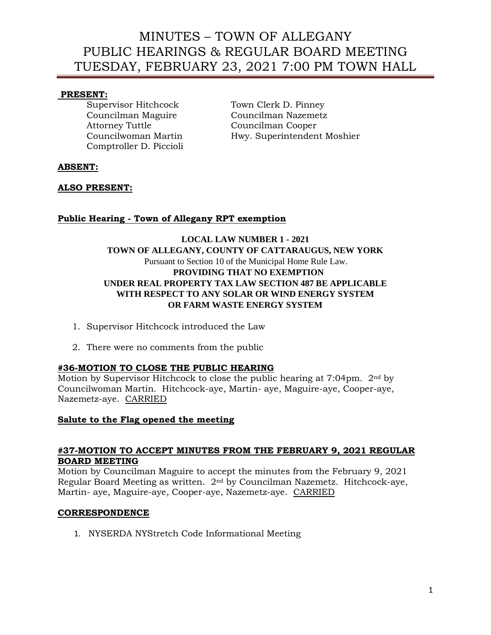## **PRESENT:**

Attorney Tuttle Councilman Cooper Comptroller D. Piccioli

Supervisor Hitchcock Town Clerk D. Pinney Councilman Maguire Councilman Nazemetz Councilwoman Martin Hwy. Superintendent Moshier

## **ABSENT:**

## **ALSO PRESENT:**

## **Public Hearing - Town of Allegany RPT exemption**

## **LOCAL LAW NUMBER 1 - 2021 TOWN OF ALLEGANY, COUNTY OF CATTARAUGUS, NEW YORK**  Pursuant to Section 10 of the Municipal Home Rule Law. **PROVIDING THAT NO EXEMPTION UNDER REAL PROPERTY TAX LAW SECTION 487 BE APPLICABLE WITH RESPECT TO ANY SOLAR OR WIND ENERGY SYSTEM OR FARM WASTE ENERGY SYSTEM**

- 1. Supervisor Hitchcock introduced the Law
- 2. There were no comments from the public

## **#36-MOTION TO CLOSE THE PUBLIC HEARING**

Motion by Supervisor Hitchcock to close the public hearing at  $7:04$ pm.  $2<sup>nd</sup>$  by Councilwoman Martin. Hitchcock-aye, Martin- aye, Maguire-aye, Cooper-aye, Nazemetz-aye. CARRIED

### **Salute to the Flag opened the meeting**

### **#37-MOTION TO ACCEPT MINUTES FROM THE FEBRUARY 9, 2021 REGULAR BOARD MEETING**

Motion by Councilman Maguire to accept the minutes from the February 9, 2021 Regular Board Meeting as written. 2nd by Councilman Nazemetz. Hitchcock-aye, Martin- aye, Maguire-aye, Cooper-aye, Nazemetz-aye. CARRIED

### **CORRESPONDENCE**

1. NYSERDA NYStretch Code Informational Meeting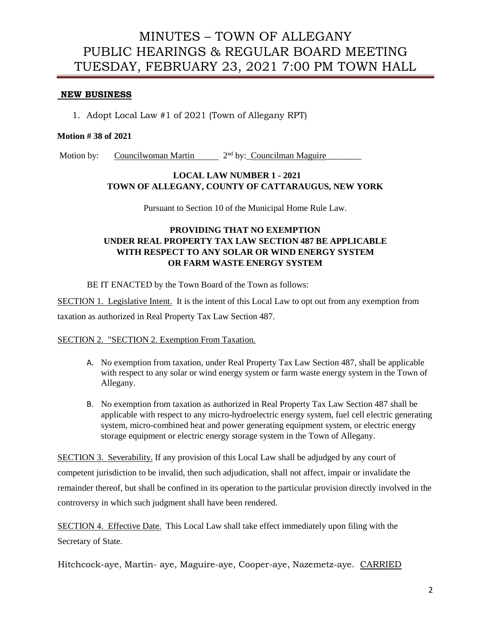#### **NEW BUSINESS**

1. Adopt Local Law #1 of 2021 (Town of Allegany RPT)

#### **Motion # 38 of 2021**

Motion by: Councilwoman Martin 2<sup>nd</sup> by: Councilman Maguire

### **LOCAL LAW NUMBER 1 - 2021 TOWN OF ALLEGANY, COUNTY OF CATTARAUGUS, NEW YORK**

Pursuant to Section 10 of the Municipal Home Rule Law.

## **PROVIDING THAT NO EXEMPTION UNDER REAL PROPERTY TAX LAW SECTION 487 BE APPLICABLE WITH RESPECT TO ANY SOLAR OR WIND ENERGY SYSTEM OR FARM WASTE ENERGY SYSTEM**

BE IT ENACTED by the Town Board of the Town as follows:

SECTION 1. Legislative Intent. It is the intent of this Local Law to opt out from any exemption from taxation as authorized in Real Property Tax Law Section 487.

#### SECTION 2. "SECTION 2. Exemption From Taxation.

- A. No exemption from taxation, under Real Property Tax Law Section 487, shall be applicable with respect to any solar or wind energy system or farm waste energy system in the Town of Allegany.
- B. No exemption from taxation as authorized in Real Property Tax Law Section 487 shall be applicable with respect to any micro-hydroelectric energy system, fuel cell electric generating system, micro-combined heat and power generating equipment system, or electric energy storage equipment or electric energy storage system in the Town of Allegany.

SECTION 3. Severability. If any provision of this Local Law shall be adjudged by any court of competent jurisdiction to be invalid, then such adjudication, shall not affect, impair or invalidate the remainder thereof, but shall be confined in its operation to the particular provision directly involved in the controversy in which such judgment shall have been rendered.

SECTION 4. Effective Date. This Local Law shall take effect immediately upon filing with the Secretary of State.

Hitchcock-aye, Martin- aye, Maguire-aye, Cooper-aye, Nazemetz-aye. CARRIED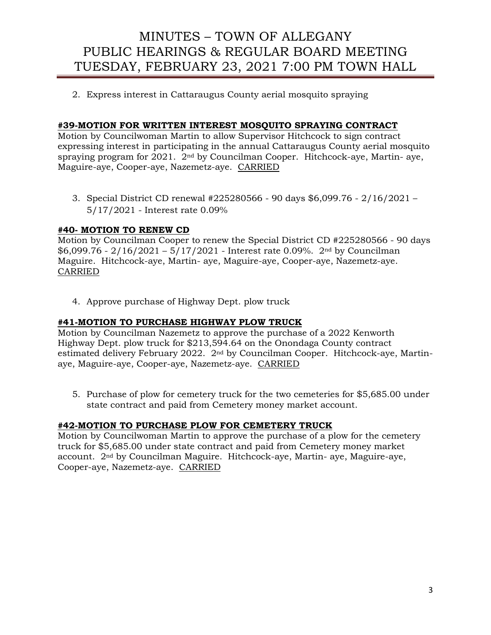2. Express interest in Cattaraugus County aerial mosquito spraying

## **#39-MOTION FOR WRITTEN INTEREST MOSQUITO SPRAYING CONTRACT**

Motion by Councilwoman Martin to allow Supervisor Hitchcock to sign contract expressing interest in participating in the annual Cattaraugus County aerial mosquito spraying program for  $2021$ .  $2<sup>nd</sup>$  by Councilman Cooper. Hitchcock-aye, Martin- aye, Maguire-aye, Cooper-aye, Nazemetz-aye. CARRIED

3. Special District CD renewal #225280566 - 90 days \$6,099.76 - 2/16/2021 – 5/17/2021 - Interest rate 0.09%

## **#40- MOTION TO RENEW CD**

Motion by Councilman Cooper to renew the Special District CD #225280566 - 90 days  $$6,099.76 - 2/16/2021 - 5/17/2021$  - Interest rate 0.09%. 2<sup>nd</sup> by Councilman Maguire. Hitchcock-aye, Martin- aye, Maguire-aye, Cooper-aye, Nazemetz-aye. CARRIED

4. Approve purchase of Highway Dept. plow truck

### **#41-MOTION TO PURCHASE HIGHWAY PLOW TRUCK**

Motion by Councilman Nazemetz to approve the purchase of a 2022 Kenworth Highway Dept. plow truck for \$213,594.64 on the Onondaga County contract estimated delivery February 2022. 2nd by Councilman Cooper. Hitchcock-aye, Martinaye, Maguire-aye, Cooper-aye, Nazemetz-aye. CARRIED

5. Purchase of plow for cemetery truck for the two cemeteries for \$5,685.00 under state contract and paid from Cemetery money market account.

### **#42-MOTION TO PURCHASE PLOW FOR CEMETERY TRUCK**

Motion by Councilwoman Martin to approve the purchase of a plow for the cemetery truck for \$5,685.00 under state contract and paid from Cemetery money market account. 2nd by Councilman Maguire. Hitchcock-aye, Martin- aye, Maguire-aye, Cooper-aye, Nazemetz-aye. CARRIED